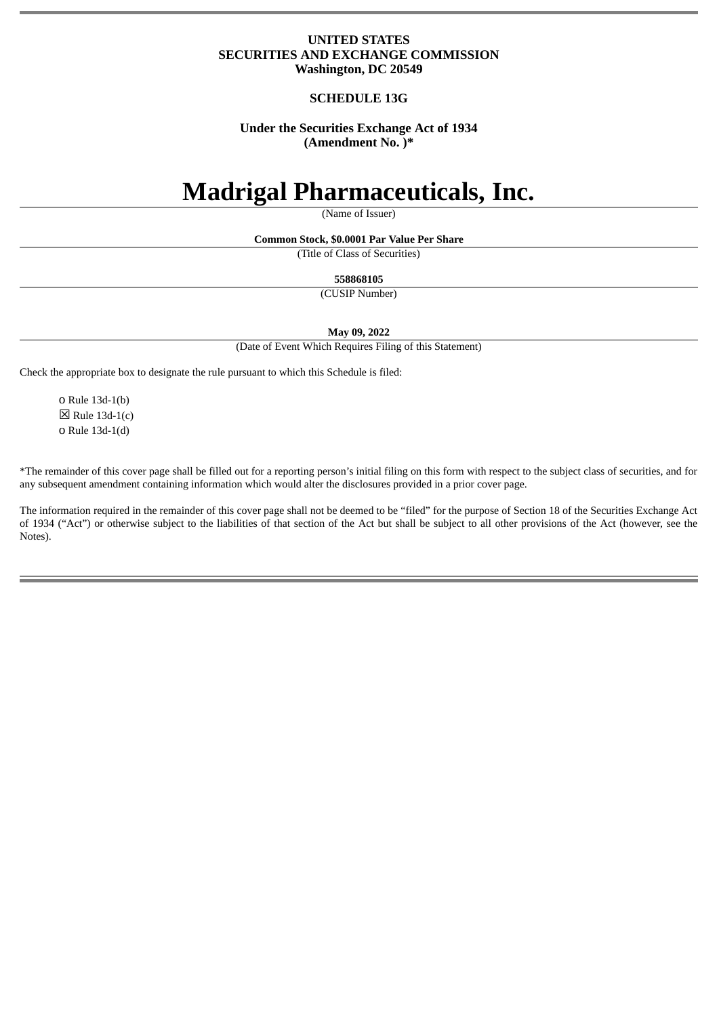# **UNITED STATES SECURITIES AND EXCHANGE COMMISSION Washington, DC 20549**

# **SCHEDULE 13G**

# **Under the Securities Exchange Act of 1934 (Amendment No. )\***

# **Madrigal Pharmaceuticals, Inc.**

(Name of Issuer)

**Common Stock, \$0.0001 Par Value Per Share**

(Title of Class of Securities)

**558868105**

(CUSIP Number)

**May 09, 2022**

(Date of Event Which Requires Filing of this Statement)

Check the appropriate box to designate the rule pursuant to which this Schedule is filed:

o Rule 13d-1(b)  $\boxtimes$  Rule 13d-1(c) o Rule 13d-1(d)

\*The remainder of this cover page shall be filled out for a reporting person's initial filing on this form with respect to the subject class of securities, and for any subsequent amendment containing information which would alter the disclosures provided in a prior cover page.

The information required in the remainder of this cover page shall not be deemed to be "filed" for the purpose of Section 18 of the Securities Exchange Act of 1934 ("Act") or otherwise subject to the liabilities of that section of the Act but shall be subject to all other provisions of the Act (however, see the Notes).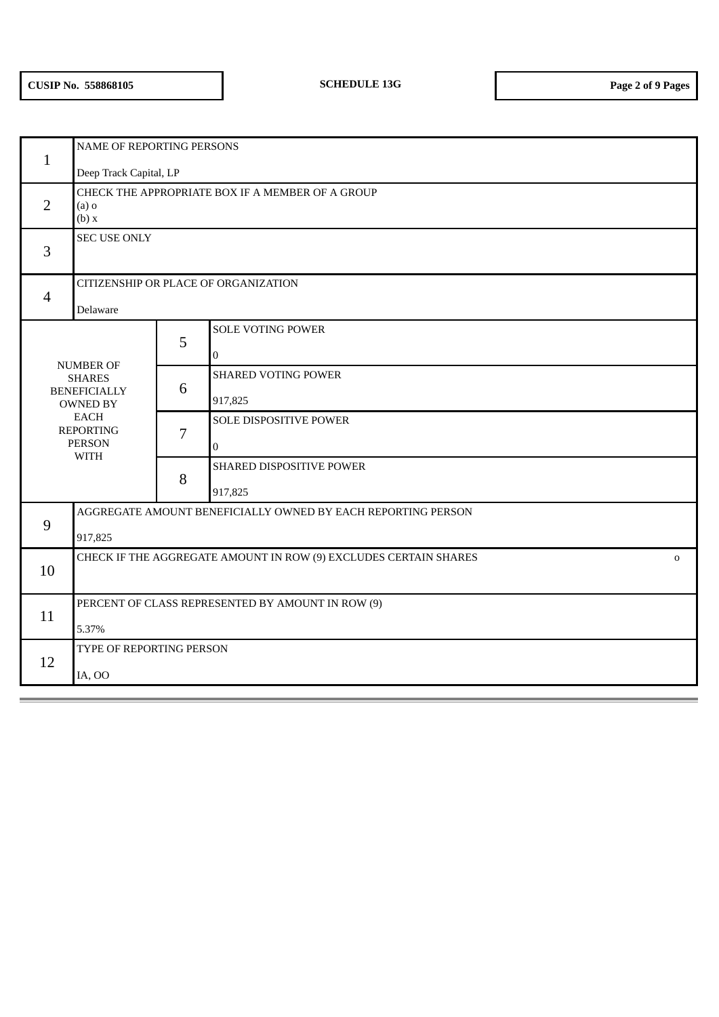| $\mathbf{1}$   | NAME OF REPORTING PERSONS                                                       |   |                            |  |  |  |  |
|----------------|---------------------------------------------------------------------------------|---|----------------------------|--|--|--|--|
|                | Deep Track Capital, LP                                                          |   |                            |  |  |  |  |
| 2              | CHECK THE APPROPRIATE BOX IF A MEMBER OF A GROUP<br>$(a)$ o<br>(b) x            |   |                            |  |  |  |  |
| 3              | <b>SEC USE ONLY</b>                                                             |   |                            |  |  |  |  |
| $\overline{4}$ | CITIZENSHIP OR PLACE OF ORGANIZATION<br>Delaware                                |   |                            |  |  |  |  |
|                |                                                                                 |   | <b>SOLE VOTING POWER</b>   |  |  |  |  |
|                |                                                                                 | 5 | $\mathbf{0}$               |  |  |  |  |
|                | NUMBER OF<br><b>SHARES</b>                                                      |   | <b>SHARED VOTING POWER</b> |  |  |  |  |
|                | <b>BENEFICIALLY</b><br>OWNED BY                                                 | 6 | 917,825                    |  |  |  |  |
|                | <b>EACH</b><br><b>REPORTING</b>                                                 | 7 | SOLE DISPOSITIVE POWER     |  |  |  |  |
|                | <b>PERSON</b><br><b>WITH</b>                                                    |   | $\mathbf 0$                |  |  |  |  |
|                |                                                                                 |   | SHARED DISPOSITIVE POWER   |  |  |  |  |
|                |                                                                                 |   | 917,825                    |  |  |  |  |
|                | AGGREGATE AMOUNT BENEFICIALLY OWNED BY EACH REPORTING PERSON                    |   |                            |  |  |  |  |
| $9$            | 917,825                                                                         |   |                            |  |  |  |  |
| 10             | CHECK IF THE AGGREGATE AMOUNT IN ROW (9) EXCLUDES CERTAIN SHARES<br>$\mathbf 0$ |   |                            |  |  |  |  |
|                |                                                                                 |   |                            |  |  |  |  |
|                | PERCENT OF CLASS REPRESENTED BY AMOUNT IN ROW (9)                               |   |                            |  |  |  |  |
| 11             | 5.37%                                                                           |   |                            |  |  |  |  |
|                | TYPE OF REPORTING PERSON                                                        |   |                            |  |  |  |  |
| 12             | IA, OO                                                                          |   |                            |  |  |  |  |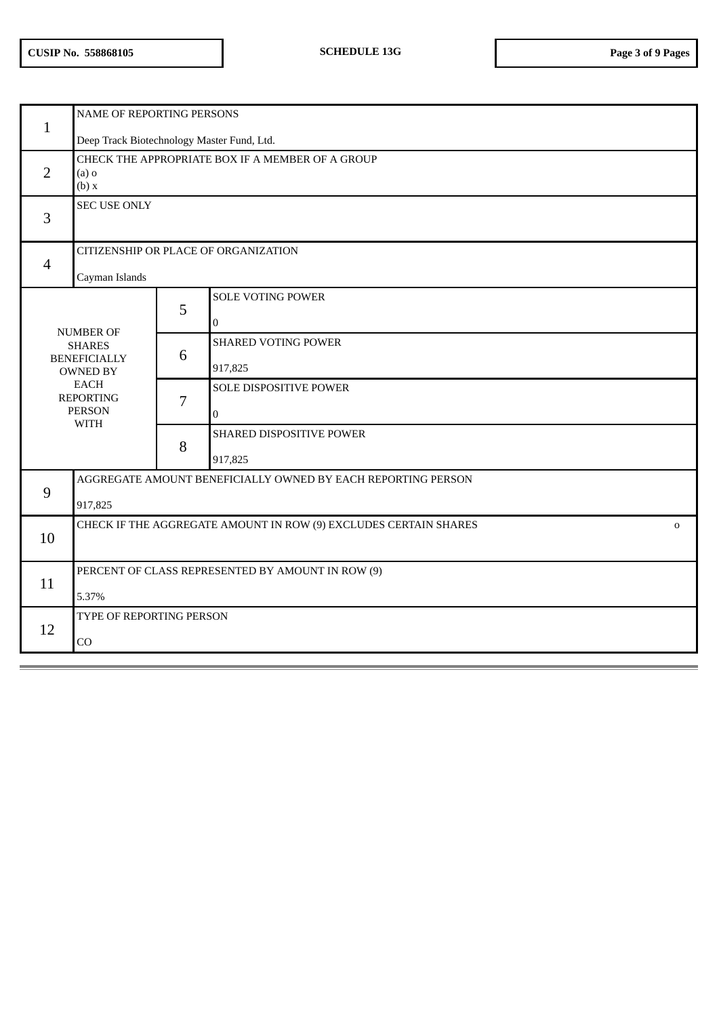| $\mathbf{1}$   | NAME OF REPORTING PERSONS                                                       |   |                            |  |  |  |  |
|----------------|---------------------------------------------------------------------------------|---|----------------------------|--|--|--|--|
|                | Deep Track Biotechnology Master Fund, Ltd.                                      |   |                            |  |  |  |  |
| $\overline{2}$ | CHECK THE APPROPRIATE BOX IF A MEMBER OF A GROUP<br>$(a)$ o<br>(b) x            |   |                            |  |  |  |  |
| 3              | <b>SEC USE ONLY</b>                                                             |   |                            |  |  |  |  |
| $\overline{4}$ | CITIZENSHIP OR PLACE OF ORGANIZATION                                            |   |                            |  |  |  |  |
|                | Cayman Islands                                                                  |   |                            |  |  |  |  |
|                |                                                                                 |   | <b>SOLE VOTING POWER</b>   |  |  |  |  |
|                |                                                                                 | 5 | $\overline{0}$             |  |  |  |  |
|                | <b>NUMBER OF</b><br><b>SHARES</b><br><b>BENEFICIALLY</b><br><b>OWNED BY</b>     |   | <b>SHARED VOTING POWER</b> |  |  |  |  |
|                |                                                                                 |   | 917,825                    |  |  |  |  |
|                | <b>EACH</b><br><b>REPORTING</b>                                                 | 7 | SOLE DISPOSITIVE POWER     |  |  |  |  |
|                | <b>PERSON</b><br><b>WITH</b>                                                    |   | $\overline{0}$             |  |  |  |  |
|                |                                                                                 |   | SHARED DISPOSITIVE POWER   |  |  |  |  |
|                |                                                                                 |   | 917,825                    |  |  |  |  |
|                | AGGREGATE AMOUNT BENEFICIALLY OWNED BY EACH REPORTING PERSON                    |   |                            |  |  |  |  |
| 9              | 917,825                                                                         |   |                            |  |  |  |  |
|                | CHECK IF THE AGGREGATE AMOUNT IN ROW (9) EXCLUDES CERTAIN SHARES<br>$\mathbf 0$ |   |                            |  |  |  |  |
| 10             |                                                                                 |   |                            |  |  |  |  |
| 11             | PERCENT OF CLASS REPRESENTED BY AMOUNT IN ROW (9)                               |   |                            |  |  |  |  |
|                | 5.37%                                                                           |   |                            |  |  |  |  |
| 12             | TYPE OF REPORTING PERSON                                                        |   |                            |  |  |  |  |
|                | CO                                                                              |   |                            |  |  |  |  |
|                |                                                                                 |   |                            |  |  |  |  |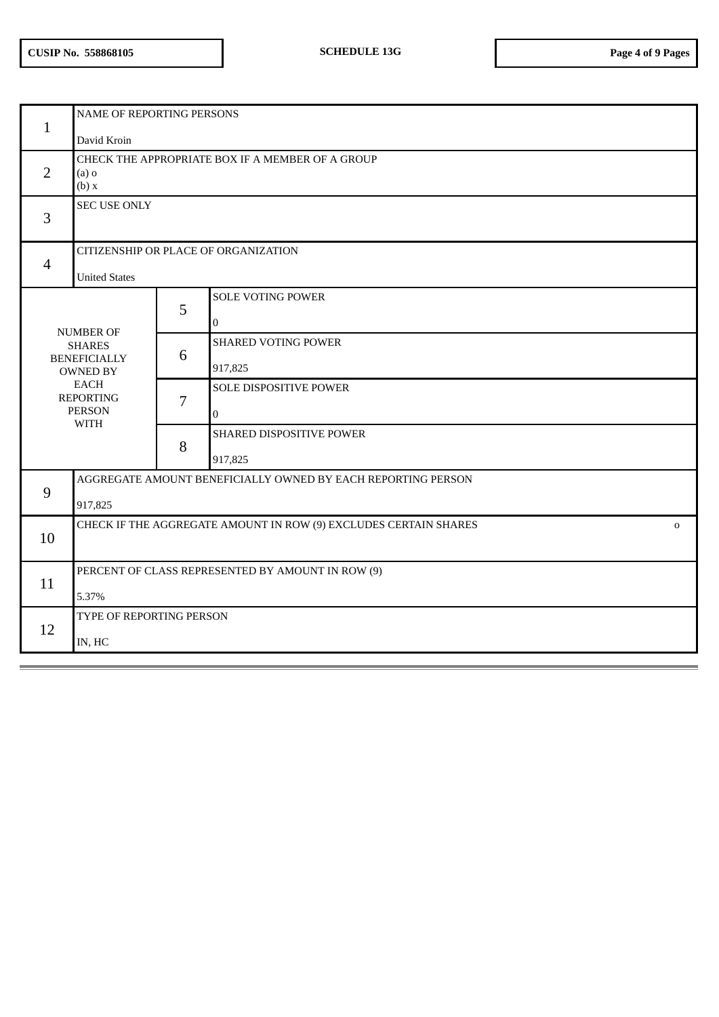| $\mathbf{1}$                                                                                                                                   | NAME OF REPORTING PERSONS<br>David Kroin                                        |                |                                          |  |  |  |  |
|------------------------------------------------------------------------------------------------------------------------------------------------|---------------------------------------------------------------------------------|----------------|------------------------------------------|--|--|--|--|
| 2                                                                                                                                              | CHECK THE APPROPRIATE BOX IF A MEMBER OF A GROUP<br>$(a)$ o<br>(b) x            |                |                                          |  |  |  |  |
| 3                                                                                                                                              | <b>SEC USE ONLY</b>                                                             |                |                                          |  |  |  |  |
| $\overline{4}$                                                                                                                                 | CITIZENSHIP OR PLACE OF ORGANIZATION<br><b>United States</b>                    |                |                                          |  |  |  |  |
| <b>NUMBER OF</b><br><b>SHARES</b><br><b>BENEFICIALLY</b><br><b>OWNED BY</b><br><b>EACH</b><br><b>REPORTING</b><br><b>PERSON</b><br><b>WITH</b> |                                                                                 | 5              | <b>SOLE VOTING POWER</b><br>$\mathbf{0}$ |  |  |  |  |
|                                                                                                                                                |                                                                                 | 6              | <b>SHARED VOTING POWER</b><br>917,825    |  |  |  |  |
|                                                                                                                                                |                                                                                 | $\overline{7}$ | SOLE DISPOSITIVE POWER<br>$\mathbf 0$    |  |  |  |  |
|                                                                                                                                                |                                                                                 | 8              | SHARED DISPOSITIVE POWER<br>917,825      |  |  |  |  |
|                                                                                                                                                | AGGREGATE AMOUNT BENEFICIALLY OWNED BY EACH REPORTING PERSON                    |                |                                          |  |  |  |  |
| 9                                                                                                                                              | 917,825                                                                         |                |                                          |  |  |  |  |
| 10                                                                                                                                             | CHECK IF THE AGGREGATE AMOUNT IN ROW (9) EXCLUDES CERTAIN SHARES<br>$\mathbf 0$ |                |                                          |  |  |  |  |
| 11                                                                                                                                             | PERCENT OF CLASS REPRESENTED BY AMOUNT IN ROW (9)<br>5.37%                      |                |                                          |  |  |  |  |
| 12                                                                                                                                             | TYPE OF REPORTING PERSON<br>IN, HC                                              |                |                                          |  |  |  |  |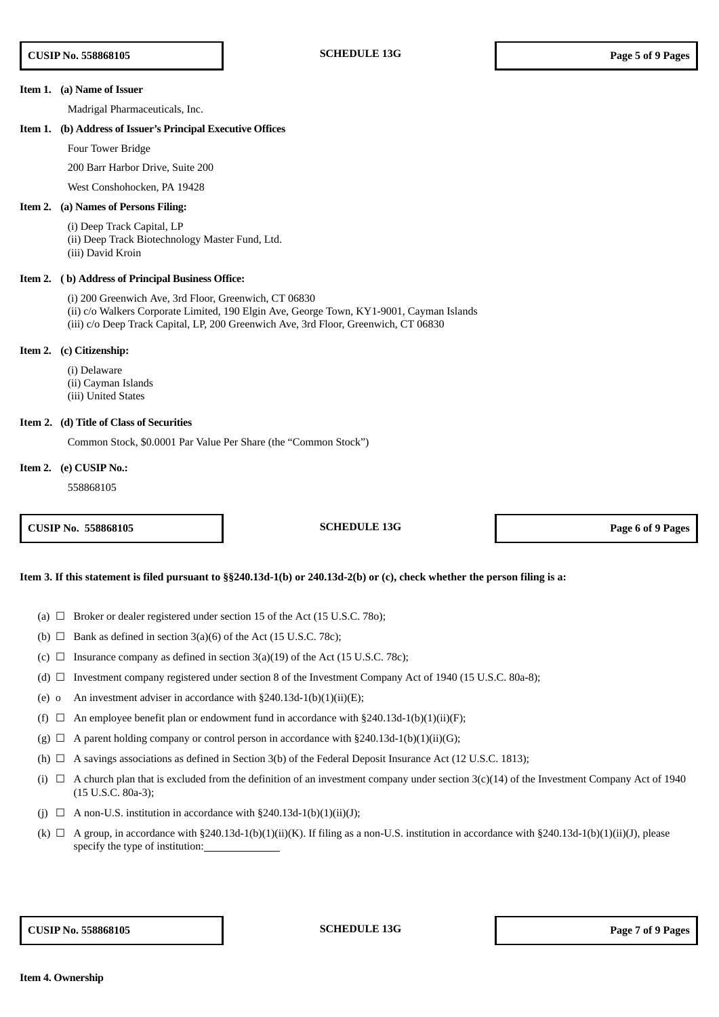### **Item 1. (a) Name of Issuer**

Madrigal Pharmaceuticals, Inc.

# **Item 1. (b) Address of Issuer's Principal Executive Offices**

Four Tower Bridge

200 Barr Harbor Drive, Suite 200

# West Conshohocken, PA 19428

# **Item 2. (a) Names of Persons Filing:**

(i) Deep Track Capital, LP (ii) Deep Track Biotechnology Master Fund, Ltd. (iii) David Kroin

### **Item 2. ( b) Address of Principal Business Office:**

(i) 200 Greenwich Ave, 3rd Floor, Greenwich, CT 06830 (ii) c/o Walkers Corporate Limited, 190 Elgin Ave, George Town, KY1-9001, Cayman Islands (iii) c/o Deep Track Capital, LP, 200 Greenwich Ave, 3rd Floor, Greenwich, CT 06830

# **Item 2. (c) Citizenship:**

(i) Delaware (ii) Cayman Islands (iii) United States

# **Item 2. (d) Title of Class of Securities**

Common Stock, \$0.0001 Par Value Per Share (the "Common Stock")

# **Item 2. (e) CUSIP No.:**

558868105

**CUSIP No. 558868105 SCHEDULE 13G Page 6 of 9 Pages**

# Item 3. If this statement is filed pursuant to §§240.13d-1(b) or 240.13d-2(b) or (c), check whether the person filing is a:

- (a)  $\Box$  Broker or dealer registered under section 15 of the Act (15 U.S.C. 780);
- (b)  $\Box$  Bank as defined in section 3(a)(6) of the Act (15 U.S.C. 78c);
- (c)  $\Box$  Insurance company as defined in section 3(a)(19) of the Act (15 U.S.C. 78c);
- (d)  $\Box$  Investment company registered under section 8 of the Investment Company Act of 1940 (15 U.S.C. 80a-8);
- (e) o An investment adviser in accordance with  $\S 240.13d-1(b)(1)(ii)(E)$ ;
- (f)  $\Box$  An employee benefit plan or endowment fund in accordance with §240.13d-1(b)(1)(ii)(F);
- (g)  $\Box$  A parent holding company or control person in accordance with §240.13d-1(b)(1)(ii)(G);
- (h)  $\Box$  A savings associations as defined in Section 3(b) of the Federal Deposit Insurance Act (12 U.S.C. 1813);
- (i)  $\Box$  A church plan that is excluded from the definition of an investment company under section 3(c)(14) of the Investment Company Act of 1940 (15 U.S.C. 80a-3);
- (j)  $\Box$  A non-U.S. institution in accordance with §240.13d-1(b)(1)(ii)(J);
- (k)  $\Box$  A group, in accordance with §240.13d-1(b)(1)(ii)(K). If filing as a non-U.S. institution in accordance with §240.13d-1(b)(1)(ii)(J), please specify the type of institution: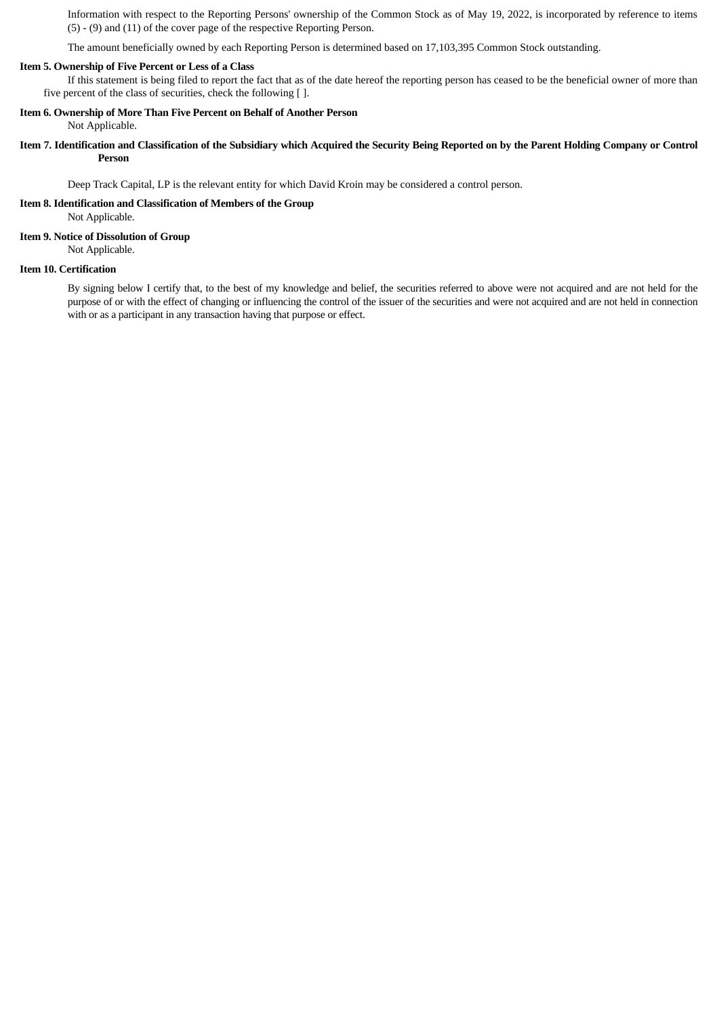Information with respect to the Reporting Persons' ownership of the Common Stock as of May 19, 2022, is incorporated by reference to items (5) - (9) and (11) of the cover page of the respective Reporting Person.

The amount beneficially owned by each Reporting Person is determined based on 17,103,395 Common Stock outstanding.

# **Item 5. Ownership of Five Percent or Less of a Class**

If this statement is being filed to report the fact that as of the date hereof the reporting person has ceased to be the beneficial owner of more than five percent of the class of securities, check the following [ ].

# **Item 6. Ownership of More Than Five Percent on Behalf of Another Person**

Not Applicable.

# Item 7. Identification and Classification of the Subsidiary which Acquired the Security Being Reported on by the Parent Holding Company or Control **Person**

Deep Track Capital, LP is the relevant entity for which David Kroin may be considered a control person.

# **Item 8. Identification and Classification of Members of the Group**

Not Applicable.

# **Item 9. Notice of Dissolution of Group**

Not Applicable.

# **Item 10. Certification**

By signing below I certify that, to the best of my knowledge and belief, the securities referred to above were not acquired and are not held for the purpose of or with the effect of changing or influencing the control of the issuer of the securities and were not acquired and are not held in connection with or as a participant in any transaction having that purpose or effect.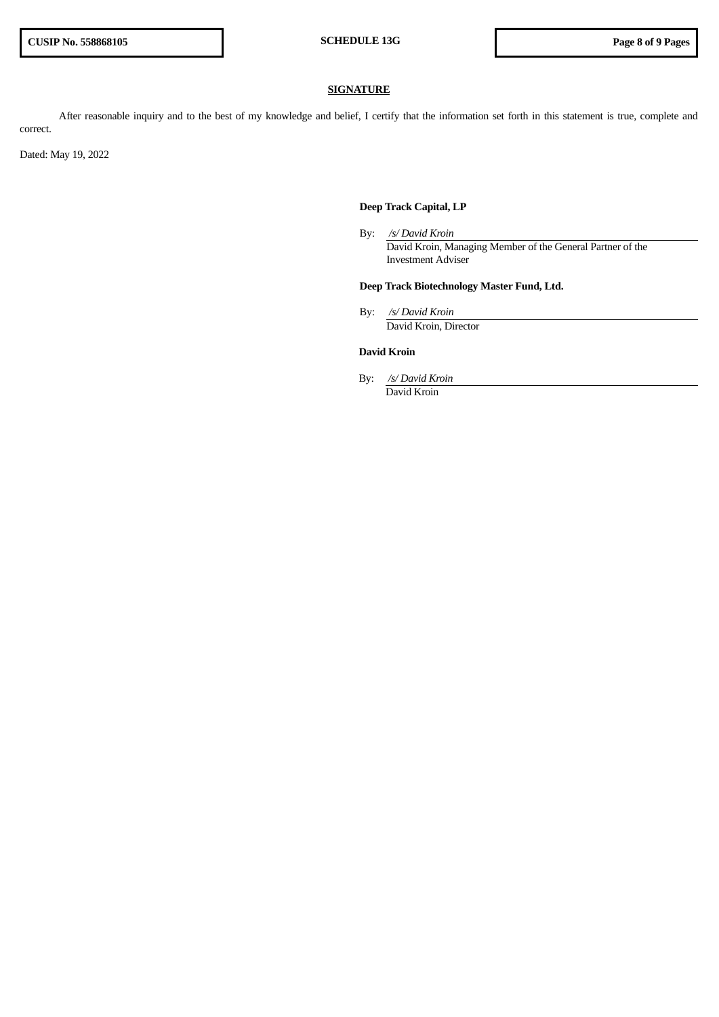# **SIGNATURE**

After reasonable inquiry and to the best of my knowledge and belief, I certify that the information set forth in this statement is true, complete and correct.

Dated: May 19, 2022

# **Deep Track Capital, LP**

By: */s/ David Kroin* David Kroin, Managing Member of the General Partner of the Investment Adviser

# **Deep Track Biotechnology Master Fund, Ltd.**

By: */s/ David Kroin* David Kroin, Director

# **David Kroin**

By: */s/ David Kroin* David Kroin